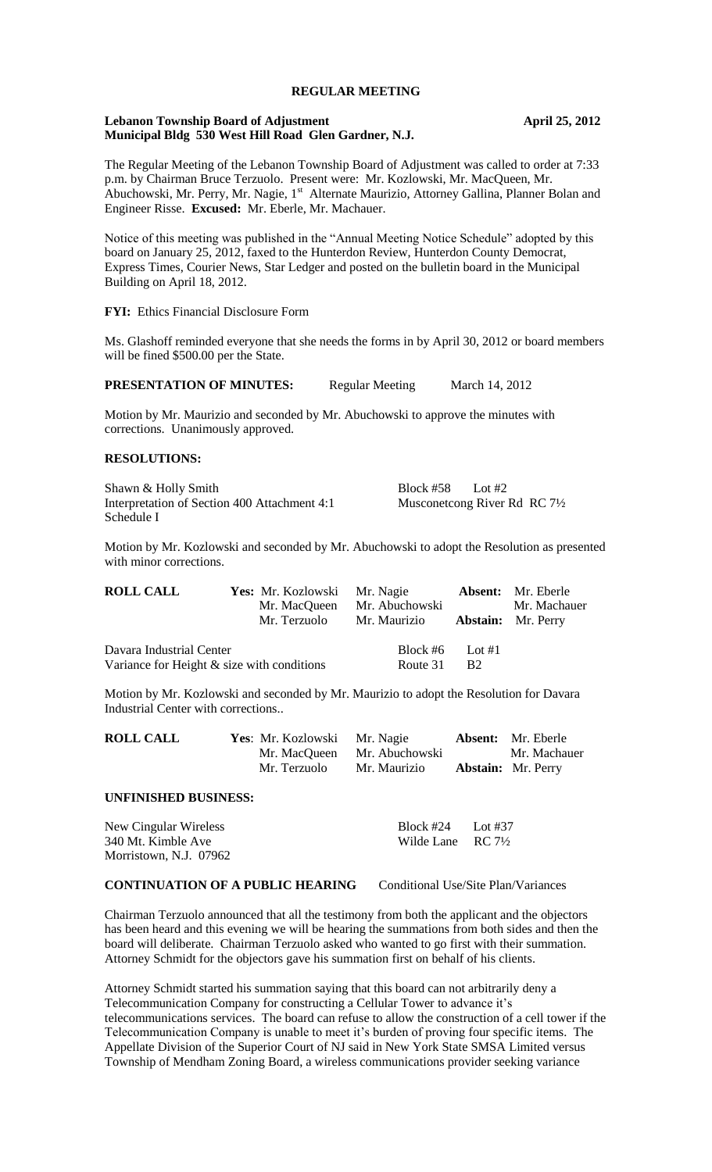## **REGULAR MEETING**

#### **Lebanon Township Board of Adjustment April 25, 2012 Municipal Bldg 530 West Hill Road Glen Gardner, N.J.**

The Regular Meeting of the Lebanon Township Board of Adjustment was called to order at 7:33 p.m. by Chairman Bruce Terzuolo. Present were: Mr. Kozlowski, Mr. MacQueen, Mr. Abuchowski, Mr. Perry, Mr. Nagie, 1<sup>st</sup> Alternate Maurizio, Attorney Gallina, Planner Bolan and Engineer Risse. **Excused:** Mr. Eberle, Mr. Machauer.

Notice of this meeting was published in the "Annual Meeting Notice Schedule" adopted by this board on January 25, 2012, faxed to the Hunterdon Review, Hunterdon County Democrat, Express Times, Courier News, Star Ledger and posted on the bulletin board in the Municipal Building on April 18, 2012.

#### **FYI:** Ethics Financial Disclosure Form

Ms. Glashoff reminded everyone that she needs the forms in by April 30, 2012 or board members will be fined \$500.00 per the State.

**PRESENTATION OF MINUTES:** Regular Meeting March 14, 2012

Motion by Mr. Maurizio and seconded by Mr. Abuchowski to approve the minutes with corrections. Unanimously approved.

#### **RESOLUTIONS:**

Shawn & Holly Smith Block #58 Lot #2 Interpretation of Section 400 Attachment 4:1 Musconetcong River Rd RC 7<sup>1</sup>/<sub>2</sub> Schedule I

Motion by Mr. Kozlowski and seconded by Mr. Abuchowski to adopt the Resolution as presented with minor corrections.

| <b>ROLL CALL</b>                              | <b>Yes:</b> Mr. Kozlowski Mr. Nagie |                                        |           | <b>Absent:</b> Mr. Eberle |
|-----------------------------------------------|-------------------------------------|----------------------------------------|-----------|---------------------------|
|                                               | Mr. MacQueen                        | Mr. Abuchowski                         |           | Mr. Machauer              |
|                                               | Mr. Terzuolo                        | Mr. Maurizio <b>Abstain:</b> Mr. Perry |           |                           |
| Davara Industrial Center                      |                                     | Block #6 Lot #1                        |           |                           |
| Variance for Height $\&$ size with conditions |                                     | Route 31                               | <b>B2</b> |                           |

Motion by Mr. Kozlowski and seconded by Mr. Maurizio to adopt the Resolution for Davara Industrial Center with corrections..

| <b>ROLL CALL</b> | Yes: Mr. Kozlowski Mr. Nagie |                             | <b>Absent:</b> Mr. Eberle |
|------------------|------------------------------|-----------------------------|---------------------------|
|                  |                              | Mr. MacQueen Mr. Abuchowski | Mr. Machauer              |
|                  | Mr. Terzuolo                 | Mr. Maurizio                | <b>Abstain:</b> Mr. Perry |

#### **UNFINISHED BUSINESS:**

New Cingular Wireless Block #24 Lot #37 Wilde Lane  $RC 7\frac{1}{2}$ Morristown, N.J. 07962

# **CONTINUATION OF A PUBLIC HEARING** Conditional Use/Site Plan/Variances

Chairman Terzuolo announced that all the testimony from both the applicant and the objectors has been heard and this evening we will be hearing the summations from both sides and then the board will deliberate. Chairman Terzuolo asked who wanted to go first with their summation. Attorney Schmidt for the objectors gave his summation first on behalf of his clients.

Attorney Schmidt started his summation saying that this board can not arbitrarily deny a Telecommunication Company for constructing a Cellular Tower to advance it's telecommunications services. The board can refuse to allow the construction of a cell tower if the Telecommunication Company is unable to meet it's burden of proving four specific items. The Appellate Division of the Superior Court of NJ said in New York State SMSA Limited versus Township of Mendham Zoning Board, a wireless communications provider seeking variance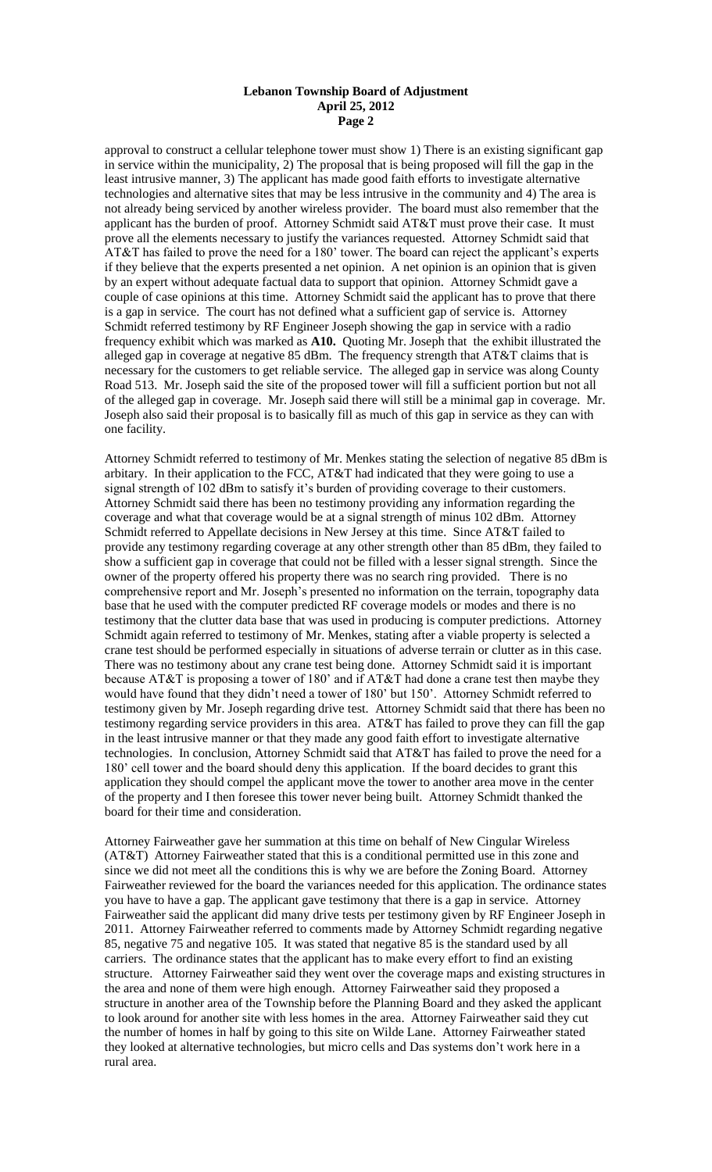#### **Lebanon Township Board of Adjustment April 25, 2012 Page 2**

approval to construct a cellular telephone tower must show 1) There is an existing significant gap in service within the municipality,  $\overline{2}$ ) The proposal that is being proposed will fill the gap in the least intrusive manner, 3) The applicant has made good faith efforts to investigate alternative technologies and alternative sites that may be less intrusive in the community and 4) The area is not already being serviced by another wireless provider. The board must also remember that the applicant has the burden of proof. Attorney Schmidt said AT&T must prove their case. It must prove all the elements necessary to justify the variances requested. Attorney Schmidt said that AT&T has failed to prove the need for a 180' tower. The board can reject the applicant's experts if they believe that the experts presented a net opinion. A net opinion is an opinion that is given by an expert without adequate factual data to support that opinion. Attorney Schmidt gave a couple of case opinions at this time. Attorney Schmidt said the applicant has to prove that there is a gap in service. The court has not defined what a sufficient gap of service is. Attorney Schmidt referred testimony by RF Engineer Joseph showing the gap in service with a radio frequency exhibit which was marked as **A10.** Quoting Mr. Joseph that the exhibit illustrated the alleged gap in coverage at negative 85 dBm. The frequency strength that AT&T claims that is necessary for the customers to get reliable service. The alleged gap in service was along County Road 513. Mr. Joseph said the site of the proposed tower will fill a sufficient portion but not all of the alleged gap in coverage. Mr. Joseph said there will still be a minimal gap in coverage. Mr. Joseph also said their proposal is to basically fill as much of this gap in service as they can with one facility.

Attorney Schmidt referred to testimony of Mr. Menkes stating the selection of negative 85 dBm is arbitary. In their application to the FCC, AT&T had indicated that they were going to use a signal strength of 102 dBm to satisfy it's burden of providing coverage to their customers. Attorney Schmidt said there has been no testimony providing any information regarding the coverage and what that coverage would be at a signal strength of minus 102 dBm. Attorney Schmidt referred to Appellate decisions in New Jersey at this time. Since AT&T failed to provide any testimony regarding coverage at any other strength other than 85 dBm, they failed to show a sufficient gap in coverage that could not be filled with a lesser signal strength. Since the owner of the property offered his property there was no search ring provided. There is no comprehensive report and Mr. Joseph's presented no information on the terrain, topography data base that he used with the computer predicted RF coverage models or modes and there is no testimony that the clutter data base that was used in producing is computer predictions. Attorney Schmidt again referred to testimony of Mr. Menkes, stating after a viable property is selected a crane test should be performed especially in situations of adverse terrain or clutter as in this case. There was no testimony about any crane test being done. Attorney Schmidt said it is important because AT&T is proposing a tower of 180' and if AT&T had done a crane test then maybe they would have found that they didn't need a tower of 180' but 150'. Attorney Schmidt referred to testimony given by Mr. Joseph regarding drive test. Attorney Schmidt said that there has been no testimony regarding service providers in this area. AT&T has failed to prove they can fill the gap in the least intrusive manner or that they made any good faith effort to investigate alternative technologies. In conclusion, Attorney Schmidt said that AT&T has failed to prove the need for a 180' cell tower and the board should deny this application. If the board decides to grant this application they should compel the applicant move the tower to another area move in the center of the property and I then foresee this tower never being built. Attorney Schmidt thanked the board for their time and consideration.

Attorney Fairweather gave her summation at this time on behalf of New Cingular Wireless (AT&T) Attorney Fairweather stated that this is a conditional permitted use in this zone and since we did not meet all the conditions this is why we are before the Zoning Board. Attorney Fairweather reviewed for the board the variances needed for this application. The ordinance states you have to have a gap. The applicant gave testimony that there is a gap in service. Attorney Fairweather said the applicant did many drive tests per testimony given by RF Engineer Joseph in 2011. Attorney Fairweather referred to comments made by Attorney Schmidt regarding negative 85, negative 75 and negative 105. It was stated that negative 85 is the standard used by all carriers. The ordinance states that the applicant has to make every effort to find an existing structure. Attorney Fairweather said they went over the coverage maps and existing structures in the area and none of them were high enough. Attorney Fairweather said they proposed a structure in another area of the Township before the Planning Board and they asked the applicant to look around for another site with less homes in the area. Attorney Fairweather said they cut the number of homes in half by going to this site on Wilde Lane. Attorney Fairweather stated they looked at alternative technologies, but micro cells and Das systems don't work here in a rural area.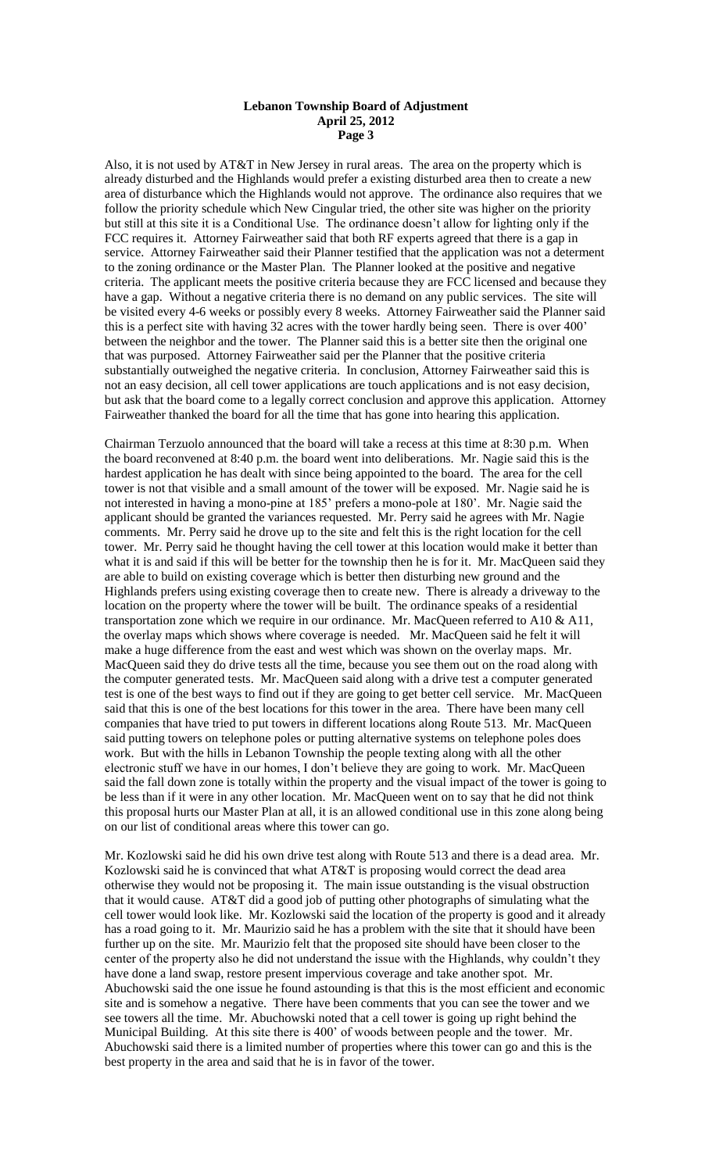#### **Lebanon Township Board of Adjustment April 25, 2012 Page 3**

Also, it is not used by AT&T in New Jersey in rural areas. The area on the property which is already disturbed and the Highlands would prefer a existing disturbed area then to create a new area of disturbance which the Highlands would not approve. The ordinance also requires that we follow the priority schedule which New Cingular tried, the other site was higher on the priority but still at this site it is a Conditional Use. The ordinance doesn't allow for lighting only if the FCC requires it. Attorney Fairweather said that both RF experts agreed that there is a gap in service. Attorney Fairweather said their Planner testified that the application was not a determent to the zoning ordinance or the Master Plan. The Planner looked at the positive and negative criteria. The applicant meets the positive criteria because they are FCC licensed and because they have a gap. Without a negative criteria there is no demand on any public services. The site will be visited every 4-6 weeks or possibly every 8 weeks. Attorney Fairweather said the Planner said this is a perfect site with having 32 acres with the tower hardly being seen. There is over 400' between the neighbor and the tower. The Planner said this is a better site then the original one that was purposed. Attorney Fairweather said per the Planner that the positive criteria substantially outweighed the negative criteria. In conclusion, Attorney Fairweather said this is not an easy decision, all cell tower applications are touch applications and is not easy decision, but ask that the board come to a legally correct conclusion and approve this application. Attorney Fairweather thanked the board for all the time that has gone into hearing this application.

Chairman Terzuolo announced that the board will take a recess at this time at 8:30 p.m. When the board reconvened at 8:40 p.m. the board went into deliberations. Mr. Nagie said this is the hardest application he has dealt with since being appointed to the board. The area for the cell tower is not that visible and a small amount of the tower will be exposed. Mr. Nagie said he is not interested in having a mono-pine at 185' prefers a mono-pole at 180'. Mr. Nagie said the applicant should be granted the variances requested. Mr. Perry said he agrees with Mr. Nagie comments. Mr. Perry said he drove up to the site and felt this is the right location for the cell tower. Mr. Perry said he thought having the cell tower at this location would make it better than what it is and said if this will be better for the township then he is for it. Mr. MacQueen said they are able to build on existing coverage which is better then disturbing new ground and the Highlands prefers using existing coverage then to create new. There is already a driveway to the location on the property where the tower will be built. The ordinance speaks of a residential transportation zone which we require in our ordinance. Mr. MacQueen referred to A10 & A11, the overlay maps which shows where coverage is needed. Mr. MacQueen said he felt it will make a huge difference from the east and west which was shown on the overlay maps. Mr. MacQueen said they do drive tests all the time, because you see them out on the road along with the computer generated tests. Mr. MacQueen said along with a drive test a computer generated test is one of the best ways to find out if they are going to get better cell service. Mr. MacQueen said that this is one of the best locations for this tower in the area. There have been many cell companies that have tried to put towers in different locations along Route 513. Mr. MacQueen said putting towers on telephone poles or putting alternative systems on telephone poles does work. But with the hills in Lebanon Township the people texting along with all the other electronic stuff we have in our homes, I don't believe they are going to work. Mr. MacQueen said the fall down zone is totally within the property and the visual impact of the tower is going to be less than if it were in any other location. Mr. MacQueen went on to say that he did not think this proposal hurts our Master Plan at all, it is an allowed conditional use in this zone along being on our list of conditional areas where this tower can go.

Mr. Kozlowski said he did his own drive test along with Route 513 and there is a dead area. Mr. Kozlowski said he is convinced that what AT&T is proposing would correct the dead area otherwise they would not be proposing it. The main issue outstanding is the visual obstruction that it would cause. AT&T did a good job of putting other photographs of simulating what the cell tower would look like. Mr. Kozlowski said the location of the property is good and it already has a road going to it. Mr. Maurizio said he has a problem with the site that it should have been further up on the site. Mr. Maurizio felt that the proposed site should have been closer to the center of the property also he did not understand the issue with the Highlands, why couldn't they have done a land swap, restore present impervious coverage and take another spot. Mr. Abuchowski said the one issue he found astounding is that this is the most efficient and economic site and is somehow a negative. There have been comments that you can see the tower and we see towers all the time. Mr. Abuchowski noted that a cell tower is going up right behind the Municipal Building. At this site there is 400' of woods between people and the tower. Mr. Abuchowski said there is a limited number of properties where this tower can go and this is the best property in the area and said that he is in favor of the tower.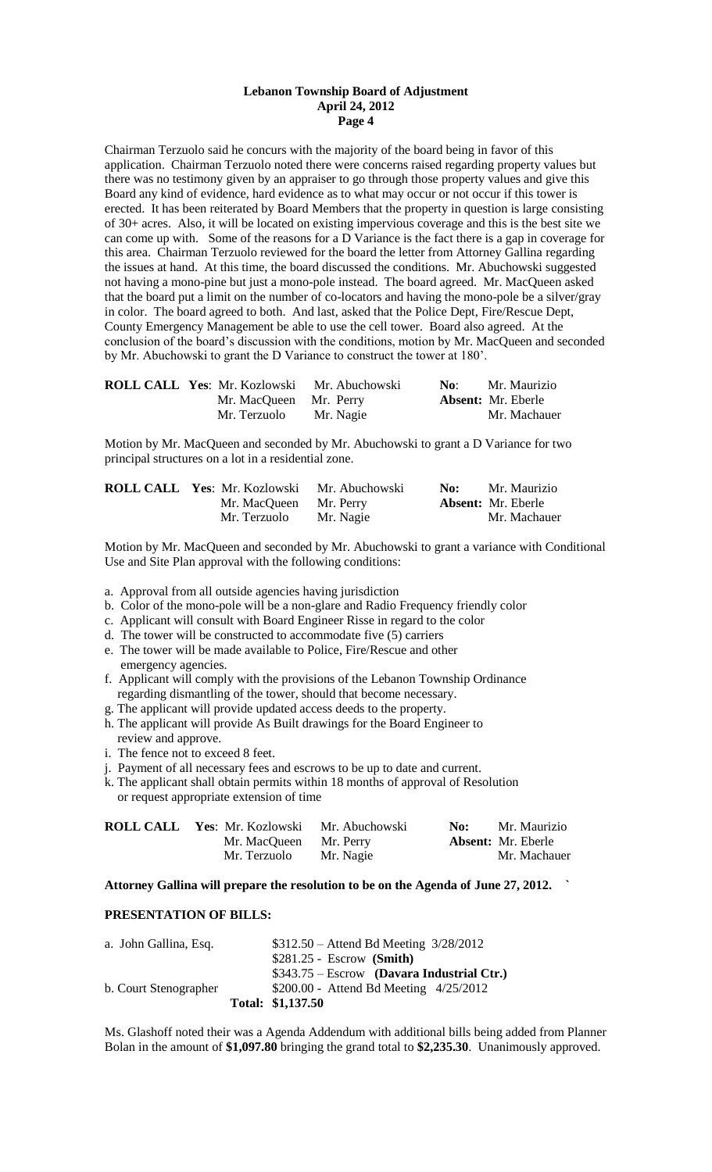#### **Lebanon Township Board of Adjustment April 24, 2012 Page 4**

Chairman Terzuolo said he concurs with the majority of the board being in favor of this application. Chairman Terzuolo noted there were concerns raised regarding property values but there was no testimony given by an appraiser to go through those property values and give this Board any kind of evidence, hard evidence as to what may occur or not occur if this tower is erected. It has been reiterated by Board Members that the property in question is large consisting of 30+ acres. Also, it will be located on existing impervious coverage and this is the best site we can come up with. Some of the reasons for a D Variance is the fact there is a gap in coverage for this area. Chairman Terzuolo reviewed for the board the letter from Attorney Gallina regarding the issues at hand. At this time, the board discussed the conditions. Mr. Abuchowski suggested not having a mono-pine but just a mono-pole instead. The board agreed. Mr. MacQueen asked that the board put a limit on the number of co-locators and having the mono-pole be a silver/gray in color. The board agreed to both. And last, asked that the Police Dept, Fire/Rescue Dept, County Emergency Management be able to use the cell tower. Board also agreed. At the conclusion of the board's discussion with the conditions, motion by Mr. MacQueen and seconded by Mr. Abuchowski to grant the D Variance to construct the tower at 180'.

| <b>ROLL CALL Yes: Mr. Kozlowski</b> | Mr. Abuchowski | No: | Mr. Maurizio              |
|-------------------------------------|----------------|-----|---------------------------|
| Mr. MacQueen Mr. Perry              |                |     | <b>Absent:</b> Mr. Eberle |
| Mr. Terzuolo                        | Mr. Nagie      |     | Mr. Machauer              |

Motion by Mr. MacQueen and seconded by Mr. Abuchowski to grant a D Variance for two principal structures on a lot in a residential zone.

| ROLL CALL Yes: Mr. Kozlowski Mr. Abuchowski |           | No: | Mr. Maurizio              |
|---------------------------------------------|-----------|-----|---------------------------|
| Mr. MacQueen Mr. Perry                      |           |     | <b>Absent:</b> Mr. Eberle |
| Mr. Terzuolo                                | Mr. Nagie |     | Mr. Machauer              |

Motion by Mr. MacQueen and seconded by Mr. Abuchowski to grant a variance with Conditional Use and Site Plan approval with the following conditions:

a. Approval from all outside agencies having jurisdiction

- b. Color of the mono-pole will be a non-glare and Radio Frequency friendly color
- c. Applicant will consult with Board Engineer Risse in regard to the color
- d. The tower will be constructed to accommodate five (5) carriers
- e. The tower will be made available to Police, Fire/Rescue and other emergency agencies.
- f. Applicant will comply with the provisions of the Lebanon Township Ordinance regarding dismantling of the tower, should that become necessary.
- g. The applicant will provide updated access deeds to the property.
- h. The applicant will provide As Built drawings for the Board Engineer to review and approve.
- i. The fence not to exceed 8 feet.
- j. Payment of all necessary fees and escrows to be up to date and current.
- k. The applicant shall obtain permits within 18 months of approval of Resolution or request appropriate extension of time

| <b>ROLL CALL Yes:</b> Mr. Kozlowski Mr. Abuchowski |           | No: | Mr. Maurizio              |
|----------------------------------------------------|-----------|-----|---------------------------|
| Mr. MacQueen Mr. Perry                             |           |     | <b>Absent:</b> Mr. Eberle |
| Mr. Terzuolo                                       | Mr. Nagie |     | Mr. Machauer              |

**Attorney Gallina will prepare the resolution to be on the Agenda of June 27, 2012. `**

#### **PRESENTATION OF BILLS:**

| a. John Gallina, Esq. | $$312.50 -$ Attend Bd Meeting $3/28/2012$   |
|-----------------------|---------------------------------------------|
|                       | $$281.25 - Escrow$ (Smith)                  |
|                       | $$343.75 - Escrow$ (Davara Industrial Ctr.) |
| b. Court Stenographer | $$200.00 -$ Attend Bd Meeting $4/25/2012$   |
|                       | Total: \$1,137.50                           |

Ms. Glashoff noted their was a Agenda Addendum with additional bills being added from Planner Bolan in the amount of **\$1,097.80** bringing the grand total to **\$2,235.30**. Unanimously approved.